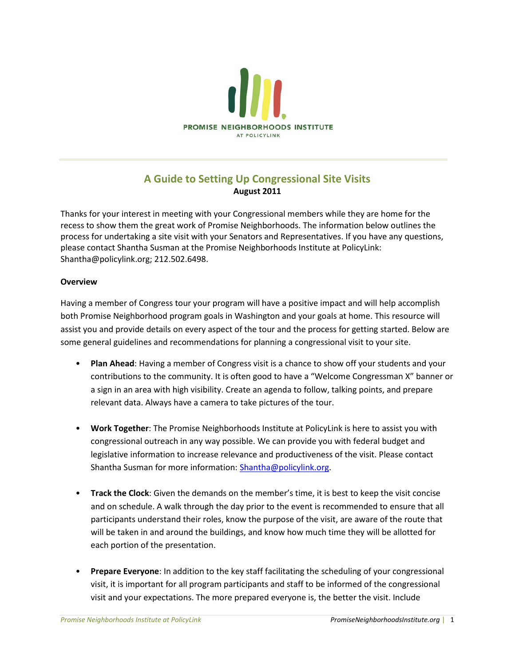

### **A Guide to Setting Up Congressional Site Visits August 2011**

Thanks for your interest in meeting with your Congressional members while they are home for the recess to show them the great work of Promise Neighborhoods. The information below outlines the process for undertaking a site visit with your Senators and Representatives. If you have any questions, please contact Shantha Susman at the Promise Neighborhoods Institute at PolicyLink: Shantha@policylink.org; 212.502.6498.

#### **Overview**

Having a member of Congress tour your program will have a positive impact and will help accomplish both Promise Neighborhood program goals in Washington and your goals at home. This resource will assist you and provide details on every aspect of the tour and the process for getting started. Below are some general guidelines and recommendations for planning a congressional visit to your site.

- **Plan Ahead**: Having a member of Congress visit is a chance to show off your students and your contributions to the community. It is often good to have a "Welcome Congressman X" banner or a sign in an area with high visibility. Create an agenda to follow, talking points, and prepare relevant data. Always have a camera to take pictures of the tour.
- **Work Together**: The Promise Neighborhoods Institute at PolicyLink is here to assist you with congressional outreach in any way possible. We can provide you with federal budget and legislative information to increase relevance and productiveness of the visit. Please contact Shantha Susman for more information: [Shantha@policylink.org.](mailto:Shantha@policylink.org)
- **Track the Clock**: Given the demands on the member's time, it is best to keep the visit concise and on schedule. A walk through the day prior to the event is recommended to ensure that all participants understand their roles, know the purpose of the visit, are aware of the route that will be taken in and around the buildings, and know how much time they will be allotted for each portion of the presentation.
- **Prepare Everyone**: In addition to the key staff facilitating the scheduling of your congressional visit, it is important for all program participants and staff to be informed of the congressional visit and your expectations. The more prepared everyone is, the better the visit. Include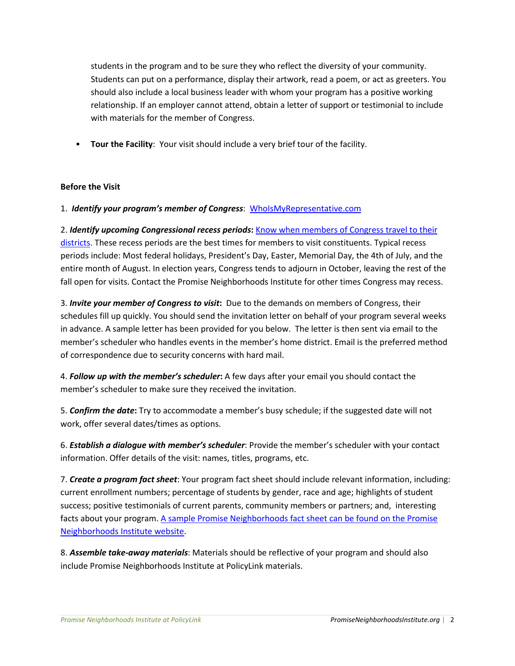students in the program and to be sure they who reflect the diversity of your community. Students can put on a performance, display their artwork, read a poem, or act as greeters. You should also include a local business leader with whom your program has a positive working relationship. If an employer cannot attend, obtain a letter of support or testimonial to include with materials for the member of Congress.

• **Tour the Facility**: Your visit should include a very brief tour of the facility.

#### **Before the Visit**

1. *Identify your program's member of Congress*: WhoIsMyRepresentative.com

2. *Identify upcoming Congressional recess periods***:** [Know when members of Congress travel to their](http://www.house.gov/legislative/)  [districts.](http://www.house.gov/legislative/) These recess periods are the best times for members to visit constituents. Typical recess periods include: Most federal holidays, President's Day, Easter, Memorial Day, the 4th of July, and the entire month of August. In election years, Congress tends to adjourn in October, leaving the rest of the fall open for visits. Contact the Promise Neighborhoods Institute for other times Congress may recess.

3. *Invite your member of Congress to visit***:** Due to the demands on members of Congress, their schedules fill up quickly. You should send the invitation letter on behalf of your program several weeks in advance. A sample letter has been provided for you below. The letter is then sent via email to the member's scheduler who handles events in the member's home district. Email is the preferred method of correspondence due to security concerns with hard mail.

4. *Follow up with the member's scheduler***:** A few days after your email you should contact the member's scheduler to make sure they received the invitation.

5. *Confirm the date***:** Try to accommodate a member's busy schedule; if the suggested date will not work, offer several dates/times as options.

6. *Establish a dialogue with member's scheduler*: Provide the member's scheduler with your contact information. Offer details of the visit: names, titles, programs, etc.

7. *Create a program fact sheet*: Your program fact sheet should include relevant information, including: current enrollment numbers; percentage of students by gender, race and age; highlights of student success; positive testimonials of current parents, community members or partners; and, interesting facts about your program. A sample [Promise Neighborhoods fact sheet can be found on the Promise](http://promiseneighborhoodsinstitute.org/Promise-Neighborhoods-Movement/Federal-Policy-Center)  [Neighborhoods Institute](http://promiseneighborhoodsinstitute.org/Promise-Neighborhoods-Movement/Federal-Policy-Center) website.

8. *Assemble take-away materials*: Materials should be reflective of your program and should also include Promise Neighborhoods Institute at PolicyLink materials.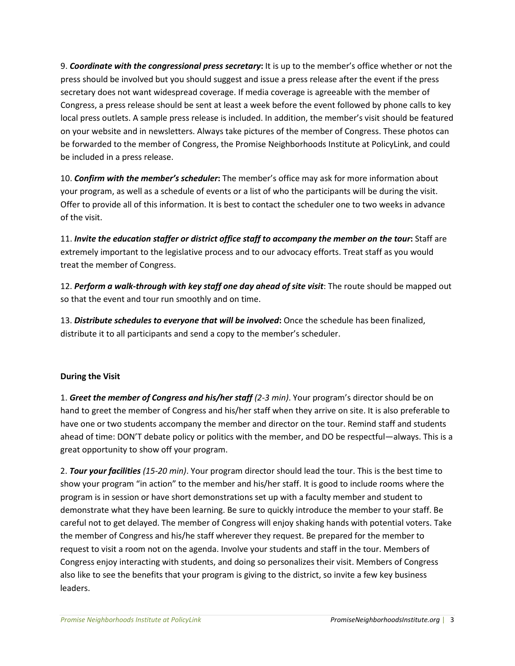9. *Coordinate with the congressional press secretary***:** It is up to the member's office whether or not the press should be involved but you should suggest and issue a press release after the event if the press secretary does not want widespread coverage. If media coverage is agreeable with the member of Congress, a press release should be sent at least a week before the event followed by phone calls to key local press outlets. A sample press release is included. In addition, the member's visit should be featured on your website and in newsletters. Always take pictures of the member of Congress. These photos can be forwarded to the member of Congress, the Promise Neighborhoods Institute at PolicyLink, and could be included in a press release.

10. *Confirm with the member's scheduler***:** The member's office may ask for more information about your program, as well as a schedule of events or a list of who the participants will be during the visit. Offer to provide all of this information. It is best to contact the scheduler one to two weeks in advance of the visit.

11. *Invite the education staffer or district office staff to accompany the member on the tour***:** Staff are extremely important to the legislative process and to our advocacy efforts. Treat staff as you would treat the member of Congress.

12. *Perform a walk-through with key staff one day ahead of site visit*: The route should be mapped out so that the event and tour run smoothly and on time.

13. *Distribute schedules to everyone that will be involved***:** Once the schedule has been finalized, distribute it to all participants and send a copy to the member's scheduler.

### **During the Visit**

1. *Greet the member of Congress and his/her staff (2-3 min)*. Your program's director should be on hand to greet the member of Congress and his/her staff when they arrive on site. It is also preferable to have one or two students accompany the member and director on the tour. Remind staff and students ahead of time: DON'T debate policy or politics with the member, and DO be respectful—always. This is a great opportunity to show off your program.

2. *Tour your facilities (15-20 min)*. Your program director should lead the tour. This is the best time to show your program "in action" to the member and his/her staff. It is good to include rooms where the program is in session or have short demonstrations set up with a faculty member and student to demonstrate what they have been learning. Be sure to quickly introduce the member to your staff. Be careful not to get delayed. The member of Congress will enjoy shaking hands with potential voters. Take the member of Congress and his/he staff wherever they request. Be prepared for the member to request to visit a room not on the agenda. Involve your students and staff in the tour. Members of Congress enjoy interacting with students, and doing so personalizes their visit. Members of Congress also like to see the benefits that your program is giving to the district, so invite a few key business leaders.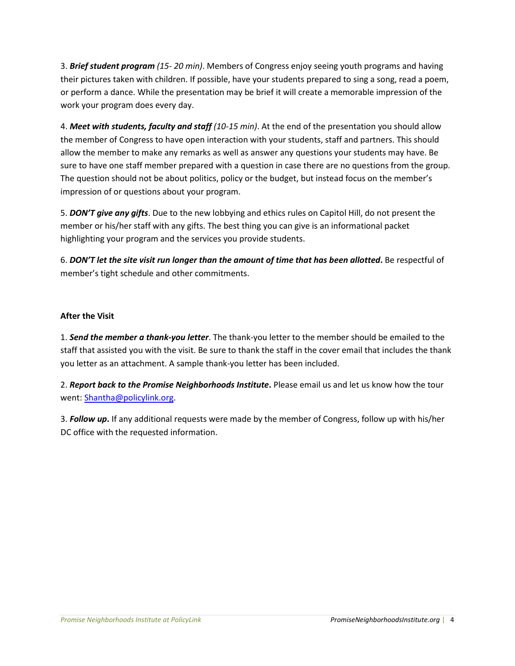3. *Brief student program (15- 20 min)*. Members of Congress enjoy seeing youth programs and having their pictures taken with children. If possible, have your students prepared to sing a song, read a poem, or perform a dance. While the presentation may be brief it will create a memorable impression of the work your program does every day.

4. *Meet with students, faculty and staff (10-15 min)*. At the end of the presentation you should allow the member of Congress to have open interaction with your students, staff and partners. This should allow the member to make any remarks as well as answer any questions your students may have. Be sure to have one staff member prepared with a question in case there are no questions from the group. The question should not be about politics, policy or the budget, but instead focus on the member's impression of or questions about your program.

5. *DON'T give any gifts*. Due to the new lobbying and ethics rules on Capitol Hill, do not present the member or his/her staff with any gifts. The best thing you can give is an informational packet highlighting your program and the services you provide students.

6. *DON'T let the site visit run longer than the amount of time that has been allotted***.** Be respectful of member's tight schedule and other commitments.

#### **After the Visit**

1. *Send the member a thank-you letter*. The thank-you letter to the member should be emailed to the staff that assisted you with the visit. Be sure to thank the staff in the cover email that includes the thank you letter as an attachment. A sample thank-you letter has been included.

2. *Report back to the Promise Neighborhoods Institute***.** Please email us and let us know how the tour went: [Shantha@policylink.org.](mailto:Shantha@policylink.org)

3. *Follow up***.** If any additional requests were made by the member of Congress, follow up with his/her DC office with the requested information.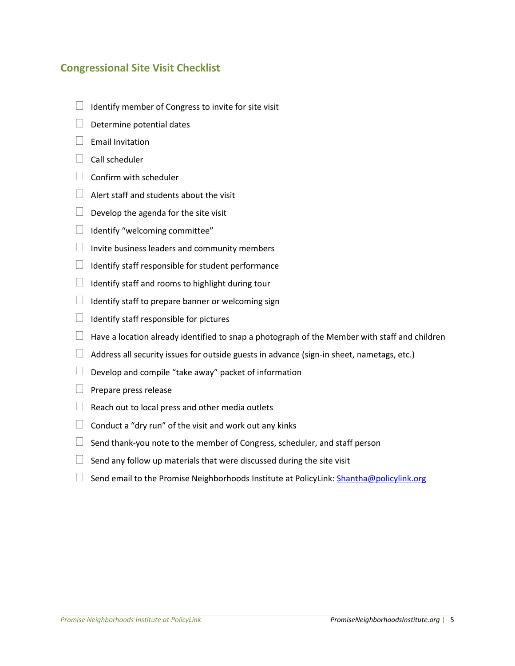### **Congressional Site Visit Checklist**

- $\Box$  Identify member of Congress to invite for site visit
- $\Box$  Determine potential dates
- $\Box$  Email Invitation
- $\Box$  Call scheduler
- $\Box$  Confirm with scheduler
- $\Box$  Alert staff and students about the visit
- $\Box$  Develop the agenda for the site visit
- $\Box$  Identify "welcoming committee"
- $\Box$  Invite business leaders and community members
- $\Box$  Identify staff responsible for student performance
- $\Box$  Identify staff and rooms to highlight during tour
- $\Box$  Identify staff to prepare banner or welcoming sign
- $\Box$  Identify staff responsible for pictures
- $\Box$  Have a location already identified to snap a photograph of the Member with staff and children
- $\Box$  Address all security issues for outside guests in advance (sign-in sheet, nametags, etc.)
- $\Box$  Develop and compile "take away" packet of information
- $\Box$  Prepare press release
- $\Box$  Reach out to local press and other media outlets
- $\Box$  Conduct a "dry run" of the visit and work out any kinks
- $\Box$  Send thank-you note to the member of Congress, scheduler, and staff person
- $\Box$  Send any follow up materials that were discussed during the site visit
- $\Box$  Send email to the Promise Neighborhoods Institute at PolicyLink[: Shantha@policylink.org](mailto:Shantha@policylink.org)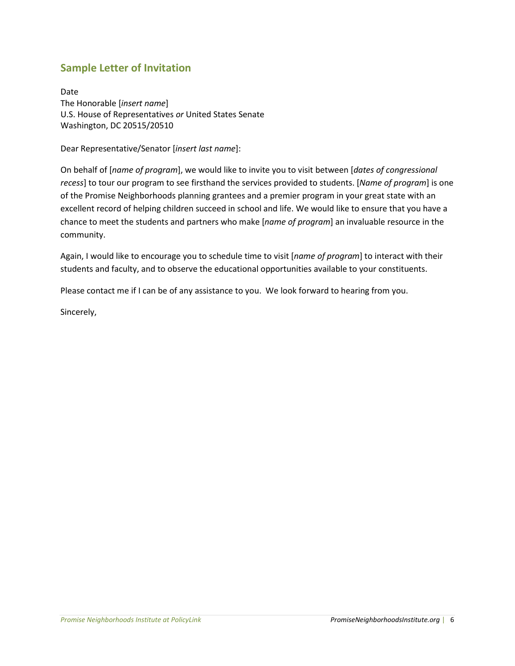# **Sample Letter of Invitation**

Date The Honorable [*insert name*] U.S. House of Representatives *or* United States Senate Washington, DC 20515/20510

Dear Representative/Senator [*insert last name*]:

On behalf of [*name of program*], we would like to invite you to visit between [*dates of congressional recess*] to tour our program to see firsthand the services provided to students. [*Name of program*] is one of the Promise Neighborhoods planning grantees and a premier program in your great state with an excellent record of helping children succeed in school and life. We would like to ensure that you have a chance to meet the students and partners who make [*name of program*] an invaluable resource in the community.

Again, I would like to encourage you to schedule time to visit [*name of program*] to interact with their students and faculty, and to observe the educational opportunities available to your constituents.

Please contact me if I can be of any assistance to you. We look forward to hearing from you.

Sincerely,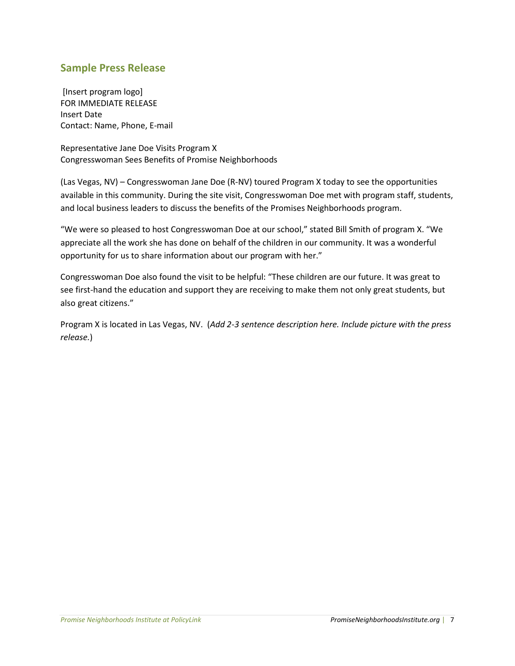### **Sample Press Release**

[Insert program logo] FOR IMMEDIATE RELEASE Insert Date Contact: Name, Phone, E-mail

Representative Jane Doe Visits Program X Congresswoman Sees Benefits of Promise Neighborhoods

(Las Vegas, NV) – Congresswoman Jane Doe (R-NV) toured Program X today to see the opportunities available in this community. During the site visit, Congresswoman Doe met with program staff, students, and local business leaders to discuss the benefits of the Promises Neighborhoods program.

"We were so pleased to host Congresswoman Doe at our school," stated Bill Smith of program X. "We appreciate all the work she has done on behalf of the children in our community. It was a wonderful opportunity for us to share information about our program with her."

Congresswoman Doe also found the visit to be helpful: "These children are our future. It was great to see first-hand the education and support they are receiving to make them not only great students, but also great citizens."

Program X is located in Las Vegas, NV. (*Add 2-3 sentence description here. Include picture with the press release.*)